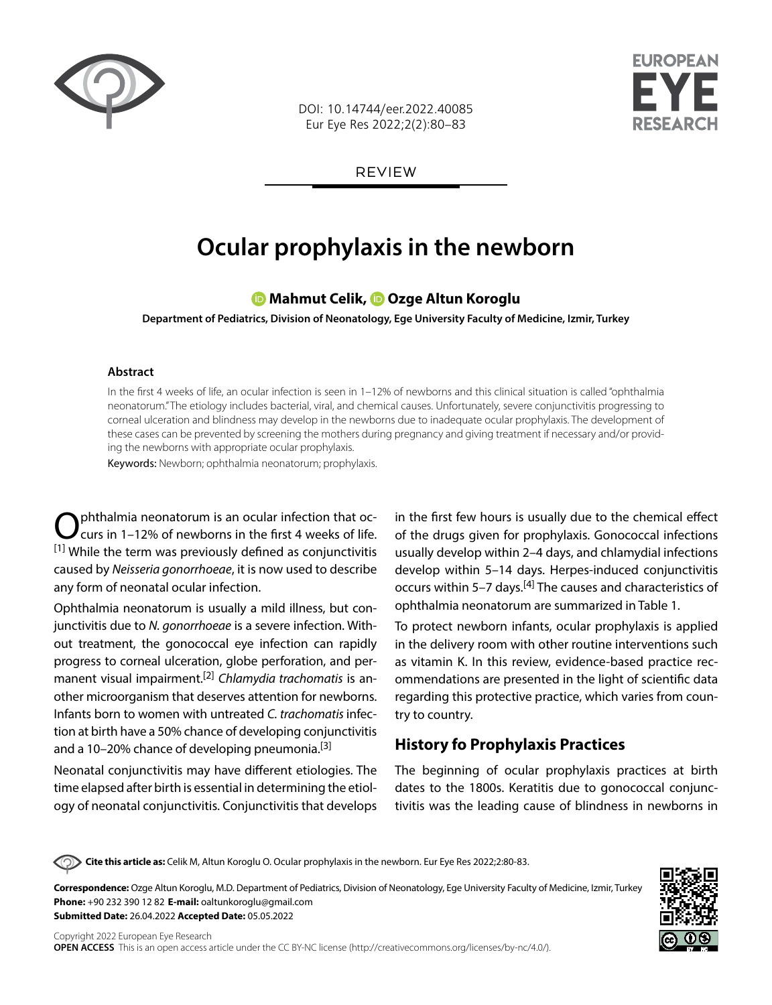

DOI: 10.14744/eer.2022.40085 Eur Eye Res 2022;2(2):80–83



REVIEW

# **Ocular prophylaxis in the newborn**

**Mahmut Celik,Ozge Altun Koroglu**

**Department of Pediatrics, Division of Neonatology, Ege University Faculty of Medicine, Izmir, Turkey**

#### **Abstract**

In the first 4 weeks of life, an ocular infection is seen in 1–12% of newborns and this clinical situation is called "ophthalmia neonatorum." The etiology includes bacterial, viral, and chemical causes. Unfortunately, severe conjunctivitis progressing to corneal ulceration and blindness may develop in the newborns due to inadequate ocular prophylaxis. The development of these cases can be prevented by screening the mothers during pregnancy and giving treatment if necessary and/or providing the newborns with appropriate ocular prophylaxis.

Keywords: Newborn; ophthalmia neonatorum; prophylaxis.

**Intialmia neonatorum is an ocular infection that oc**curs in 1–12% of newborns in the first 4 weeks of life. [1] While the term was previously defined as conjunctivitis caused by *Neisseria gonorrhoeae*, it is now used to describe any form of neonatal ocular infection.

Ophthalmia neonatorum is usually a mild illness, but conjunctivitis due to *N. gonorrhoeae* is a severe infection. Without treatment, the gonococcal eye infection can rapidly progress to corneal ulceration, globe perforation, and permanent visual impairment.[2] *Chlamydia trachomatis* is another microorganism that deserves attention for newborns. Infants born to women with untreated *C. trachomatis* infection at birth have a 50% chance of developing conjunctivitis and a 10–20% chance of developing pneumonia.<sup>[3]</sup>

Neonatal conjunctivitis may have different etiologies. The time elapsed after birth is essential in determining the etiology of neonatal conjunctivitis. Conjunctivitis that develops

in the first few hours is usually due to the chemical effect of the drugs given for prophylaxis. Gonococcal infections usually develop within 2–4 days, and chlamydial infections develop within 5–14 days. Herpes-induced conjunctivitis occurs within 5–7 days.[4] The causes and characteristics of ophthalmia neonatorum are summarized in Table 1.

To protect newborn infants, ocular prophylaxis is applied in the delivery room with other routine interventions such as vitamin K. In this review, evidence-based practice recommendations are presented in the light of scientific data regarding this protective practice, which varies from country to country.

## **History fo Prophylaxis Practices**

The beginning of ocular prophylaxis practices at birth dates to the 1800s. Keratitis due to gonococcal conjunctivitis was the leading cause of blindness in newborns in

**Cite this article as:** Celik M, Altun Koroglu O. Ocular prophylaxis in the newborn. Eur Eye Res 2022;2:80-83.

**Correspondence:** Ozge Altun Koroglu, M.D. Department of Pediatrics, Division of Neonatology, Ege University Faculty of Medicine, Izmir, Turkey **Phone:** +90 232 390 12 82 **E-mail:** oaltunkoroglu@gmail.com **Submitted Date:** 26.04.2022 **Accepted Date:** 05.05.2022

Copyright 2022 European Eye Research **OPEN ACCESS** This is an open access article under the CC BY-NC license (http://creativecommons.org/licenses/by-nc/4.0/).

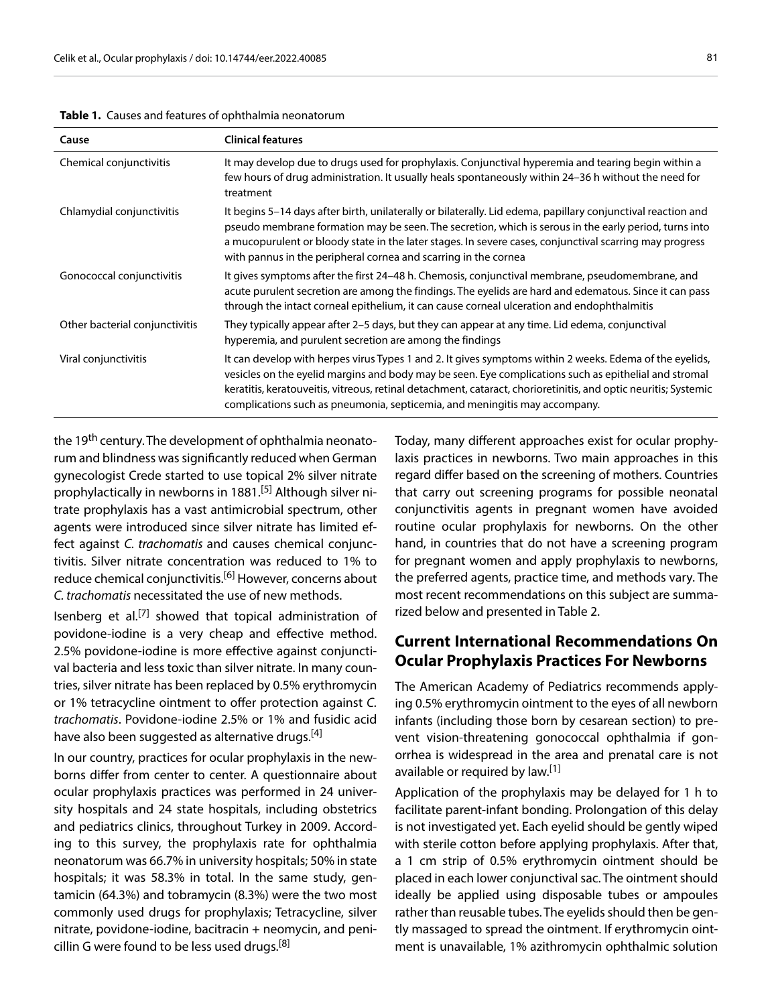| Cause                          | <b>Clinical features</b>                                                                                                                                                                                                                                                                                                                                                                                          |
|--------------------------------|-------------------------------------------------------------------------------------------------------------------------------------------------------------------------------------------------------------------------------------------------------------------------------------------------------------------------------------------------------------------------------------------------------------------|
| Chemical conjunctivitis        | It may develop due to drugs used for prophylaxis. Conjunctival hyperemia and tearing begin within a<br>few hours of drug administration. It usually heals spontaneously within 24–36 h without the need for<br>treatment                                                                                                                                                                                          |
| Chlamydial conjunctivitis      | It begins 5–14 days after birth, unilaterally or bilaterally. Lid edema, papillary conjunctival reaction and<br>pseudo membrane formation may be seen. The secretion, which is serous in the early period, turns into<br>a mucopurulent or bloody state in the later stages. In severe cases, conjunctival scarring may progress<br>with pannus in the peripheral cornea and scarring in the cornea               |
| Gonococcal conjunctivitis      | It gives symptoms after the first 24–48 h. Chemosis, conjunctival membrane, pseudomembrane, and<br>acute purulent secretion are among the findings. The eyelids are hard and edematous. Since it can pass<br>through the intact corneal epithelium, it can cause corneal ulceration and endophthalmitis                                                                                                           |
| Other bacterial conjunctivitis | They typically appear after 2–5 days, but they can appear at any time. Lid edema, conjunctival<br>hyperemia, and purulent secretion are among the findings                                                                                                                                                                                                                                                        |
| Viral conjunctivitis           | It can develop with herpes virus Types 1 and 2. It gives symptoms within 2 weeks. Edema of the eyelids,<br>vesicles on the eyelid margins and body may be seen. Eye complications such as epithelial and stromal<br>keratitis, keratouveitis, vitreous, retinal detachment, cataract, chorioretinitis, and optic neuritis; Systemic<br>complications such as pneumonia, septicemia, and meningitis may accompany. |

**Table 1.** Causes and features of ophthalmia neonatorum

the 19<sup>th</sup> century. The development of ophthalmia neonatorum and blindness was significantly reduced when German gynecologist Crede started to use topical 2% silver nitrate prophylactically in newborns in 1881.[5] Although silver nitrate prophylaxis has a vast antimicrobial spectrum, other agents were introduced since silver nitrate has limited effect against *C. trachomatis* and causes chemical conjunctivitis. Silver nitrate concentration was reduced to 1% to reduce chemical conjunctivitis.<sup>[6]</sup> However, concerns about *C. trachomatis* necessitated the use of new methods.

Isenberg et al.<sup>[7]</sup> showed that topical administration of povidone-iodine is a very cheap and effective method. 2.5% povidone-iodine is more effective against conjunctival bacteria and less toxic than silver nitrate. In many countries, silver nitrate has been replaced by 0.5% erythromycin or 1% tetracycline ointment to offer protection against *C. trachomatis*. Povidone-iodine 2.5% or 1% and fusidic acid have also been suggested as alternative drugs.<sup>[4]</sup>

In our country, practices for ocular prophylaxis in the newborns differ from center to center. A questionnaire about ocular prophylaxis practices was performed in 24 university hospitals and 24 state hospitals, including obstetrics and pediatrics clinics, throughout Turkey in 2009. According to this survey, the prophylaxis rate for ophthalmia neonatorum was 66.7% in university hospitals; 50% in state hospitals; it was 58.3% in total. In the same study, gentamicin (64.3%) and tobramycin (8.3%) were the two most commonly used drugs for prophylaxis; Tetracycline, silver nitrate, povidone-iodine, bacitracin + neomycin, and penicillin G were found to be less used drugs.<sup>[8]</sup>

Today, many different approaches exist for ocular prophylaxis practices in newborns. Two main approaches in this regard differ based on the screening of mothers. Countries that carry out screening programs for possible neonatal conjunctivitis agents in pregnant women have avoided routine ocular prophylaxis for newborns. On the other hand, in countries that do not have a screening program for pregnant women and apply prophylaxis to newborns, the preferred agents, practice time, and methods vary. The most recent recommendations on this subject are summarized below and presented in Table 2.

## **Current International Recommendations On Ocular Prophylaxis Practices For Newborns**

The American Academy of Pediatrics recommends applying 0.5% erythromycin ointment to the eyes of all newborn infants (including those born by cesarean section) to prevent vision-threatening gonococcal ophthalmia if gonorrhea is widespread in the area and prenatal care is not available or required by law.<sup>[1]</sup>

Application of the prophylaxis may be delayed for 1 h to facilitate parent-infant bonding. Prolongation of this delay is not investigated yet. Each eyelid should be gently wiped with sterile cotton before applying prophylaxis. After that, a 1 cm strip of 0.5% erythromycin ointment should be placed in each lower conjunctival sac. The ointment should ideally be applied using disposable tubes or ampoules rather than reusable tubes. The eyelids should then be gently massaged to spread the ointment. If erythromycin ointment is unavailable, 1% azithromycin ophthalmic solution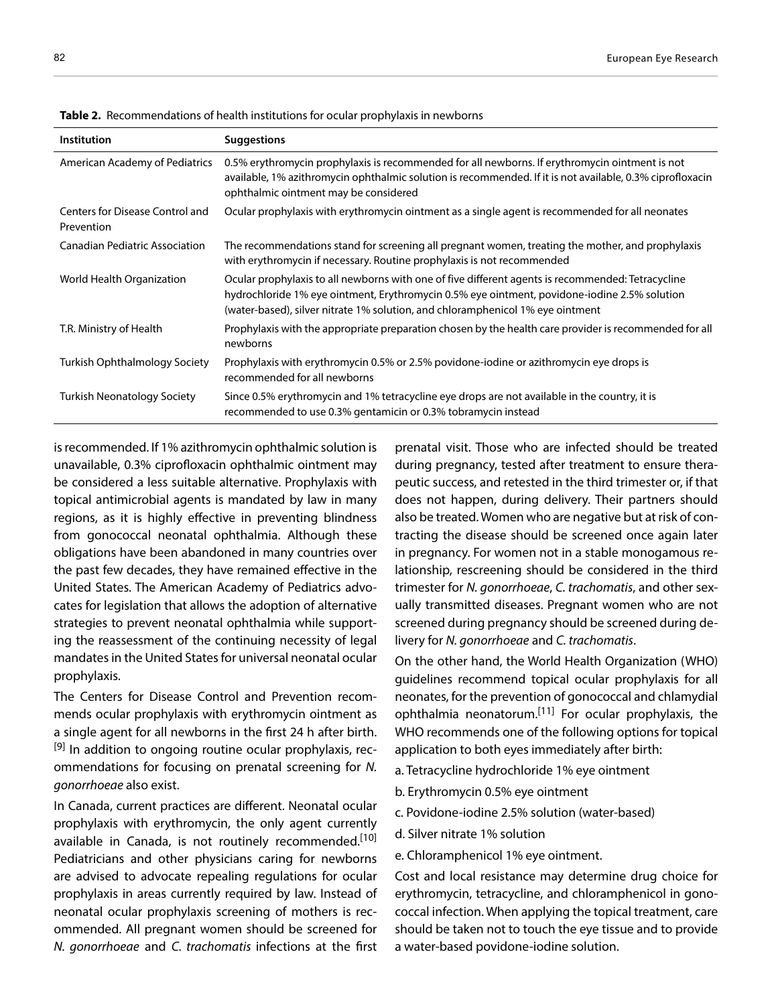| Institution                                   | <b>Suggestions</b>                                                                                                                                                                                                                                                                  |
|-----------------------------------------------|-------------------------------------------------------------------------------------------------------------------------------------------------------------------------------------------------------------------------------------------------------------------------------------|
| American Academy of Pediatrics                | 0.5% erythromycin prophylaxis is recommended for all newborns. If erythromycin ointment is not<br>available, 1% azithromycin ophthalmic solution is recommended. If it is not available, 0.3% ciprofloxacin<br>ophthalmic ointment may be considered                                |
| Centers for Disease Control and<br>Prevention | Ocular prophylaxis with erythromycin ointment as a single agent is recommended for all neonates                                                                                                                                                                                     |
| <b>Canadian Pediatric Association</b>         | The recommendations stand for screening all pregnant women, treating the mother, and prophylaxis<br>with erythromycin if necessary. Routine prophylaxis is not recommended                                                                                                          |
| World Health Organization                     | Ocular prophylaxis to all newborns with one of five different agents is recommended: Tetracycline<br>hydrochloride 1% eye ointment, Erythromycin 0.5% eye ointment, povidone-iodine 2.5% solution<br>(water-based), silver nitrate 1% solution, and chloramphenicol 1% eye ointment |
| T.R. Ministry of Health                       | Prophylaxis with the appropriate preparation chosen by the health care provider is recommended for all<br>newborns                                                                                                                                                                  |
| <b>Turkish Ophthalmology Society</b>          | Prophylaxis with erythromycin 0.5% or 2.5% povidone-iodine or azithromycin eye drops is<br>recommended for all newborns                                                                                                                                                             |
| <b>Turkish Neonatology Society</b>            | Since 0.5% erythromycin and 1% tetracycline eye drops are not available in the country, it is<br>recommended to use 0.3% gentamicin or 0.3% tobramycin instead                                                                                                                      |

**Table 2.** Recommendations of health institutions for ocular prophylaxis in newborns

is recommended. If 1% azithromycin ophthalmic solution is unavailable, 0.3% ciprofloxacin ophthalmic ointment may be considered a less suitable alternative. Prophylaxis with topical antimicrobial agents is mandated by law in many regions, as it is highly effective in preventing blindness from gonococcal neonatal ophthalmia. Although these obligations have been abandoned in many countries over the past few decades, they have remained effective in the United States. The American Academy of Pediatrics advocates for legislation that allows the adoption of alternative strategies to prevent neonatal ophthalmia while supporting the reassessment of the continuing necessity of legal mandates in the United States for universal neonatal ocular prophylaxis.

The Centers for Disease Control and Prevention recommends ocular prophylaxis with erythromycin ointment as a single agent for all newborns in the first 24 h after birth.  $[9]$  In addition to ongoing routine ocular prophylaxis, recommendations for focusing on prenatal screening for *N. gonorrhoeae* also exist.

In Canada, current practices are different. Neonatal ocular prophylaxis with erythromycin, the only agent currently available in Canada, is not routinely recommended.<sup>[10]</sup> Pediatricians and other physicians caring for newborns are advised to advocate repealing regulations for ocular prophylaxis in areas currently required by law. Instead of neonatal ocular prophylaxis screening of mothers is recommended. All pregnant women should be screened for *N. gonorrhoeae* and *C. trachomatis* infections at the first prenatal visit. Those who are infected should be treated during pregnancy, tested after treatment to ensure therapeutic success, and retested in the third trimester or, if that does not happen, during delivery. Their partners should also be treated. Women who are negative but at risk of contracting the disease should be screened once again later in pregnancy. For women not in a stable monogamous relationship, rescreening should be considered in the third trimester for *N. gonorrhoeae*, *C. trachomatis*, and other sexually transmitted diseases. Pregnant women who are not screened during pregnancy should be screened during delivery for *N. gonorrhoeae* and *C. trachomatis*.

On the other hand, the World Health Organization (WHO) guidelines recommend topical ocular prophylaxis for all neonates, for the prevention of gonococcal and chlamydial ophthalmia neonatorum.[11] For ocular prophylaxis, the WHO recommends one of the following options for topical application to both eyes immediately after birth:

- a. Tetracycline hydrochloride 1% eye ointment
- b. Erythromycin 0.5% eye ointment
- c. Povidone-iodine 2.5% solution (water-based)
- d. Silver nitrate 1% solution
- e. Chloramphenicol 1% eye ointment.

Cost and local resistance may determine drug choice for erythromycin, tetracycline, and chloramphenicol in gonococcal infection. When applying the topical treatment, care should be taken not to touch the eye tissue and to provide a water-based povidone-iodine solution.